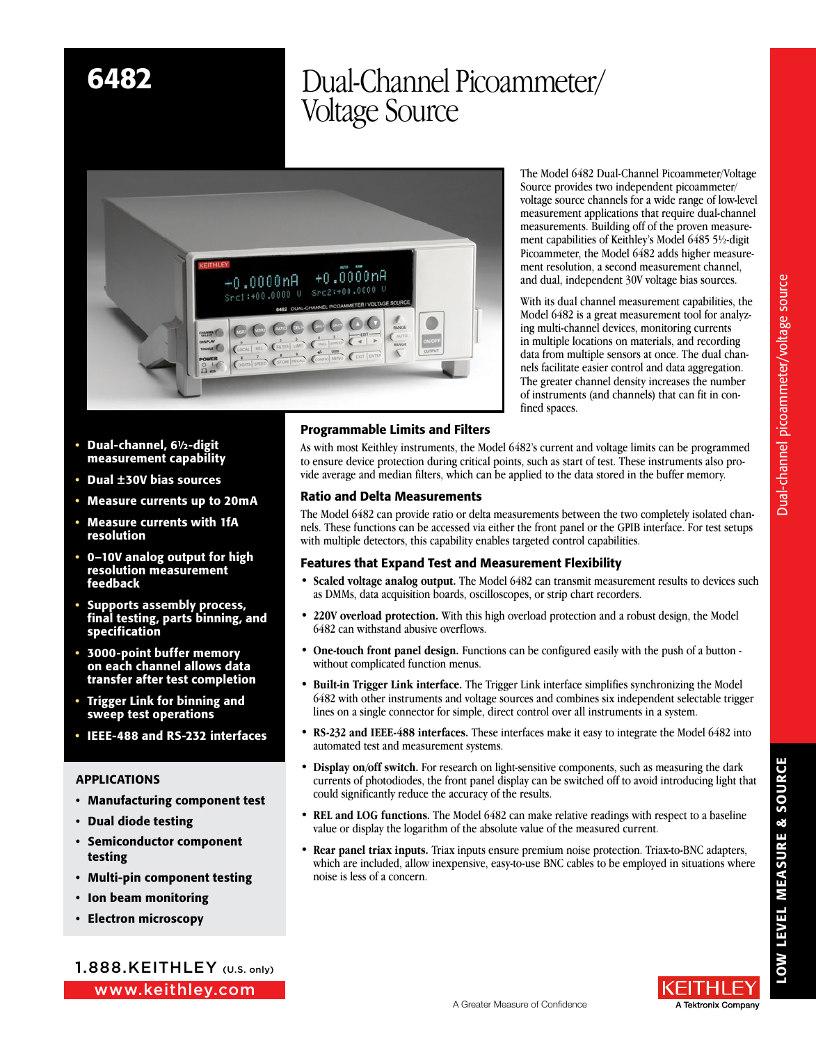# 6482 Dual-Channel Picoammeter/ Voltage Source



The Model 6482 Dual-Channel Picoammeter/Voltage Source provides two independent picoammeter/ voltage source channels for a wide range of low-level measurement applications that require dual-channel measurements. Building off of the proven measurement capabilities of Keithley's Model 6485 5½-digit Picoammeter, the Model 6482 adds higher measurement resolution, a second measurement channel, and dual, independent 30V voltage bias sources.

With its dual channel measurement capabilities, the Model 6482 is a great measurement tool for analyzing multi-channel devices, monitoring currents in multiple locations on materials, and recording data from multiple sensors at once. The dual channels facilitate easier control and data aggregation. The greater channel density increases the number of instruments (and channels) that can fit in confined spaces.

- Dual-channel, 6½-digit measurement capability
- Dual ±30V bias sources
- Measure currents up to 20mA
- Measure currents with 1fA resolution
- 0–10V analog output for high resolution measurement feedback
- Supports assembly process, final testing, parts binning, and specification
- 3000-point buffer memory on each channel allows data transfer after test completion
- Trigger Link for binning and sweep test operations
- IEEE-488 and RS-232 interfaces

# APPLICATIONS

- Manufacturing component test
- Dual diode testing
- Semiconductor component testing
- Multi-pin component testing
- Ion beam monitoring
- Electron microscopy

www.keithley.com 1.888.KEITHLEY (U.S. only)

# Programmable Limits and Filters

As with most Keithley instruments, the Model 6482's current and voltage limits can be programmed to ensure device protection during critical points, such as start of test. These instruments also provide average and median filters, which can be applied to the data stored in the buffer memory.

# Ratio and Delta Measurements

The Model 6482 can provide ratio or delta measurements between the two completely isolated channels. These functions can be accessed via either the front panel or the GPIB interface. For test setups with multiple detectors, this capability enables targeted control capabilities.

# Features that Expand Test and Measurement Flexibility

- **Scaled voltage analog output.** The Model 6482 can transmit measurement results to devices such as DMMs, data acquisition boards, oscilloscopes, or strip chart recorders.
- **220V overload protection.** With this high overload protection and a robust design, the Model 6482 can withstand abusive overflows.
- **One-touch front panel design.** Functions can be configured easily with the push of a button without complicated function menus.
- **Built-in Trigger Link interface.** The Trigger Link interface simplifies synchronizing the Model 6482 with other instruments and voltage sources and combines six independent selectable trigger lines on a single connector for simple, direct control over all instruments in a system.
- **RS-232 and IEEE-488 interfaces.** These interfaces make it easy to integrate the Model 6482 into automated test and measurement systems.
- **Display on/off switch.** For research on light-sensitive components, such as measuring the dark currents of photodiodes, the front panel display can be switched off to avoid introducing light that could significantly reduce the accuracy of the results.
- **REL and LOG functions.** The Model 6482 can make relative readings with respect to a baseline value or display the logarithm of the absolute value of the measured current.
- **Rear panel triax inputs.** Triax inputs ensure premium noise protection. Triax-to-BNC adapters, which are included, allow inexpensive, easy-to-use BNC cables to be employed in situations where noise is less of a concern.

LOW LEVEL MEASURE & SOURCE

LOW LEVEL MEASURE & SOURCE

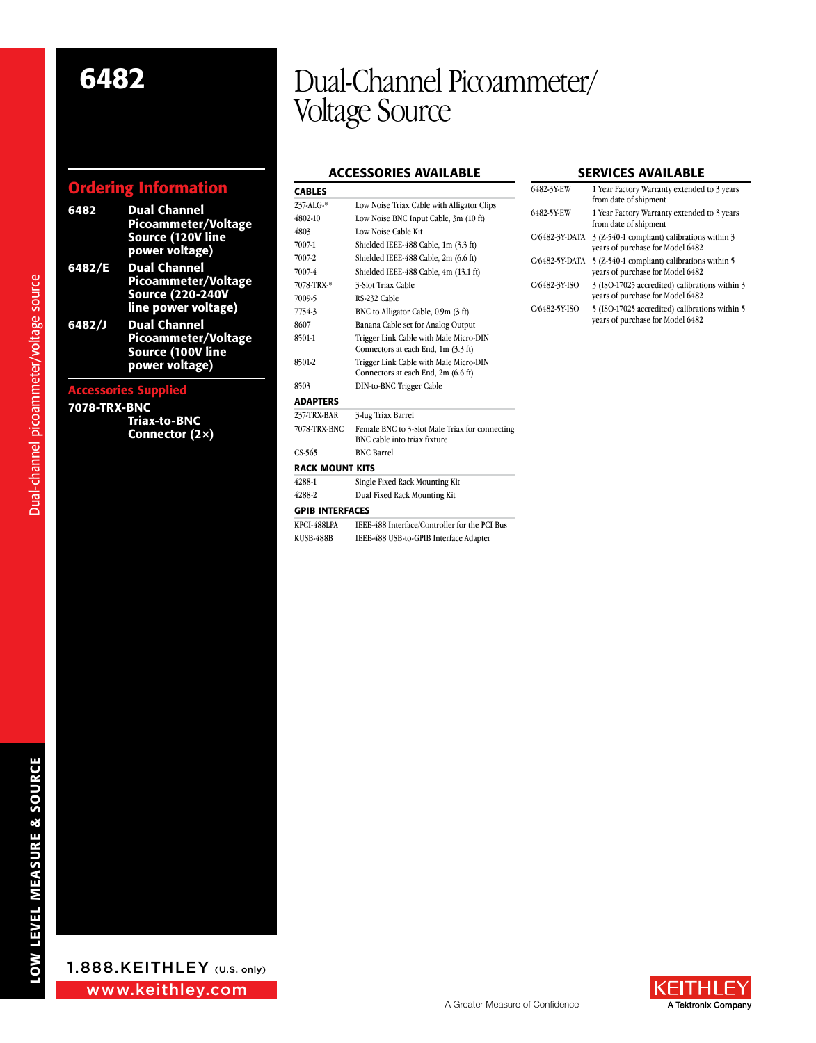# Ordering Information

| 6482                        | <b>Dual Channel</b><br>Picoammeter/Voltage<br>Source (120V line<br>power voltage)               |  |
|-----------------------------|-------------------------------------------------------------------------------------------------|--|
| 6482/E                      | <b>Dual Channel</b><br>Picoammeter/Voltage<br><b>Source (220-240V</b><br>line power voltage)    |  |
| 6482/J                      | <b>Dual Channel</b><br><b>Picoammeter/Voltage</b><br><b>Source (100V line</b><br>power voltage) |  |
| <b>Accessories Supplied</b> |                                                                                                 |  |

## 7078-TRX-BNC

Dual-channel picoammeter/voltage source Dual-channel picoammeter/voltage source

Triax-to-BNC Connector (2×)

# 6482 Dual-Channel Picoammeter/ Voltage Source

# **ACCESSORIES AVAILABLE**

| <b>CABLES</b>          |                                                |
|------------------------|------------------------------------------------|
| 237-ALG-*              | Low Noise Triax Cable with Alligator Clips     |
| 4802-10                | Low Noise BNC Input Cable, 3m (10 ft)          |
| 4803                   | Low Noise Cable Kit                            |
| 7007-1                 | Shielded IEEE-488 Cable, 1m (3.3 ft)           |
| 7007-2                 | Shielded IEEE-488 Cable, 2m (6.6 ft)           |
| 7007-4                 | Shielded IEEE-488 Cable, 4m (13.1 ft)          |
| 7078-TRX-*             | 3-Slot Triax Cable                             |
| 7009-5                 | RS-232 Cable                                   |
| 7754-3                 | BNC to Alligator Cable, 0.9m (3 ft)            |
| 8607                   | Banana Cable set for Analog Output             |
| 8501-1                 | Trigger Link Cable with Male Micro-DIN         |
|                        | Connectors at each End, 1m (3.3 ft)            |
| 8501-2                 | Trigger Link Cable with Male Micro-DIN         |
|                        | Connectors at each End, 2m (6.6 ft)            |
| 8503                   | DIN-to-BNC Trigger Cable                       |
| <b>ADAPTERS</b>        |                                                |
| 237-TRX-BAR            | 3-lug Triax Barrel                             |
| 7078-TRX-BNC           | Female BNC to 3-Slot Male Triax for connecting |
|                        | BNC cable into triax fixture                   |
| $CS-565$               | <b>BNC Barrel</b>                              |
| <b>RACK MOUNT KITS</b> |                                                |
| 4288-1                 | Single Fixed Rack Mounting Kit                 |
| 4288-2                 | Dual Fixed Rack Mounting Kit                   |
| <b>GPIB INTERFACES</b> |                                                |
| <b>KPCI-488LPA</b>     | IEEE-488 Interface/Controller for the PCI Bus  |
| <b>KUSB-488B</b>       | IEEE-488 USB-to-GPIB Interface Adapter         |

### Services Available

| 6482-3Y-EW     | 1 Year Factory Warranty extended to 3 years<br>from date of shipment               |
|----------------|------------------------------------------------------------------------------------|
| 6482-5Y EW     | 1 Year Factory Warranty extended to 3 years<br>from date of shipment               |
| C/6482-3Y-DATA | 3 (Z-540-1 compliant) calibrations within 3<br>years of purchase for Model 6482    |
| C/6482-5Y-DATA | 5 (Z-540-1 compliant) calibrations within 5<br>vears of purchase for Model 6482    |
| C/6482-3Y-ISO  | 3 (ISO-17025 accredited) calibrations within 3<br>vears of purchase for Model 6482 |
| C/6482-5Y-ISO  | 5 (ISO-17025 accredited) calibrations within 5<br>vears of purchase for Model 6482 |